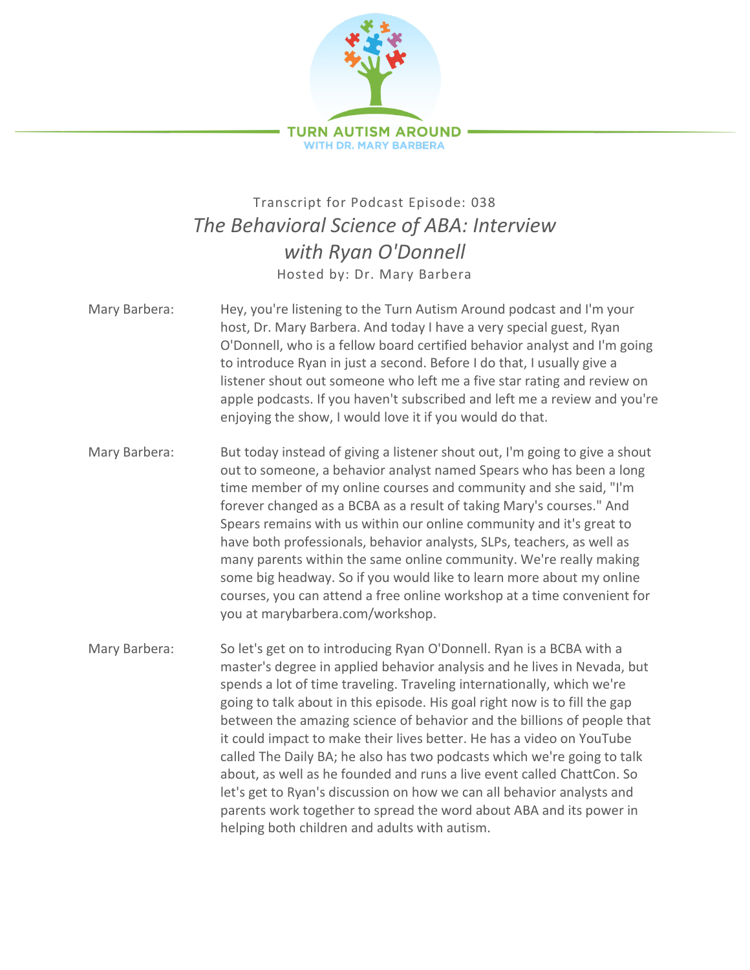

## Transcript for Podcast Episode: 038 *The Behavioral Science of ABA: Interview with Ryan O'Donnell* Hosted by: Dr. Mary Barbera

- Mary Barbera: Hey, you're listening to the Turn Autism Around podcast and I'm your host, Dr. Mary Barbera. And today I have a very special guest, Ryan O'Donnell, who is a fellow board certified behavior analyst and I'm going to introduce Ryan in just a second. Before I do that, I usually give a listener shout out someone who left me a five star rating and review on apple podcasts. If you haven't subscribed and left me a review and you're enjoying the show, I would love it if you would do that.
- Mary Barbera: But today instead of giving a listener shout out, I'm going to give a shout out to someone, a behavior analyst named Spears who has been a long time member of my online courses and community and she said, "I'm forever changed as a BCBA as a result of taking Mary's courses." And Spears remains with us within our online community and it's great to have both professionals, behavior analysts, SLPs, teachers, as well as many parents within the same online community. We're really making some big headway. So if you would like to learn more about my online courses, you can attend a free online workshop at a time convenient for you at marybarbera.com/workshop.
- Mary Barbera: So let's get on to introducing Ryan O'Donnell. Ryan is a BCBA with a master's degree in applied behavior analysis and he lives in Nevada, but spends a lot of time traveling. Traveling internationally, which we're going to talk about in this episode. His goal right now is to fill the gap between the amazing science of behavior and the billions of people that it could impact to make their lives better. He has a video on YouTube called The Daily BA; he also has two podcasts which we're going to talk about, as well as he founded and runs a live event called ChattCon. So let's get to Ryan's discussion on how we can all behavior analysts and parents work together to spread the word about ABA and its power in helping both children and adults with autism.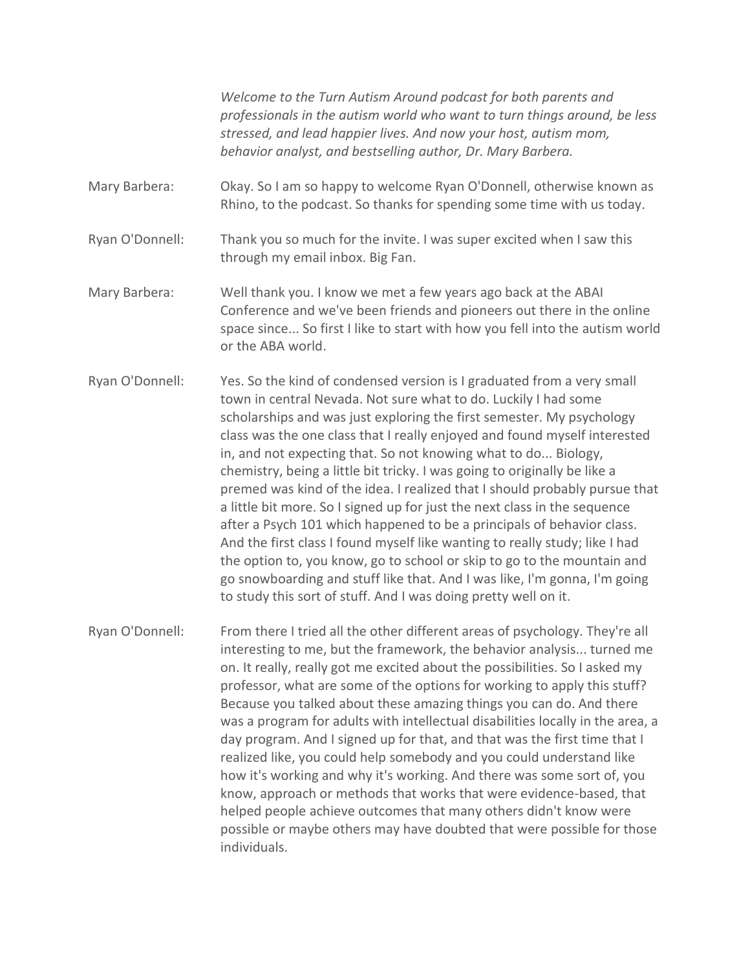*Welcome to the Turn Autism Around podcast for both parents and professionals in the autism world who want to turn things around, be less stressed, and lead happier lives. And now your host, autism mom, behavior analyst, and bestselling author, Dr. Mary Barbera.*

Mary Barbera: Okay. So I am so happy to welcome Ryan O'Donnell, otherwise known as Rhino, to the podcast. So thanks for spending some time with us today.

Ryan O'Donnell: Thank you so much for the invite. I was super excited when I saw this through my email inbox. Big Fan.

Mary Barbera: Well thank you. I know we met a few years ago back at the ABAI Conference and we've been friends and pioneers out there in the online space since... So first I like to start with how you fell into the autism world or the ABA world.

Ryan O'Donnell: Yes. So the kind of condensed version is I graduated from a very small town in central Nevada. Not sure what to do. Luckily I had some scholarships and was just exploring the first semester. My psychology class was the one class that I really enjoyed and found myself interested in, and not expecting that. So not knowing what to do... Biology, chemistry, being a little bit tricky. I was going to originally be like a premed was kind of the idea. I realized that I should probably pursue that a little bit more. So I signed up for just the next class in the sequence after a Psych 101 which happened to be a principals of behavior class. And the first class I found myself like wanting to really study; like I had the option to, you know, go to school or skip to go to the mountain and go snowboarding and stuff like that. And I was like, I'm gonna, I'm going to study this sort of stuff. And I was doing pretty well on it.

Ryan O'Donnell: From there I tried all the other different areas of psychology. They're all interesting to me, but the framework, the behavior analysis... turned me on. It really, really got me excited about the possibilities. So I asked my professor, what are some of the options for working to apply this stuff? Because you talked about these amazing things you can do. And there was a program for adults with intellectual disabilities locally in the area, a day program. And I signed up for that, and that was the first time that I realized like, you could help somebody and you could understand like how it's working and why it's working. And there was some sort of, you know, approach or methods that works that were evidence-based, that helped people achieve outcomes that many others didn't know were possible or maybe others may have doubted that were possible for those individuals.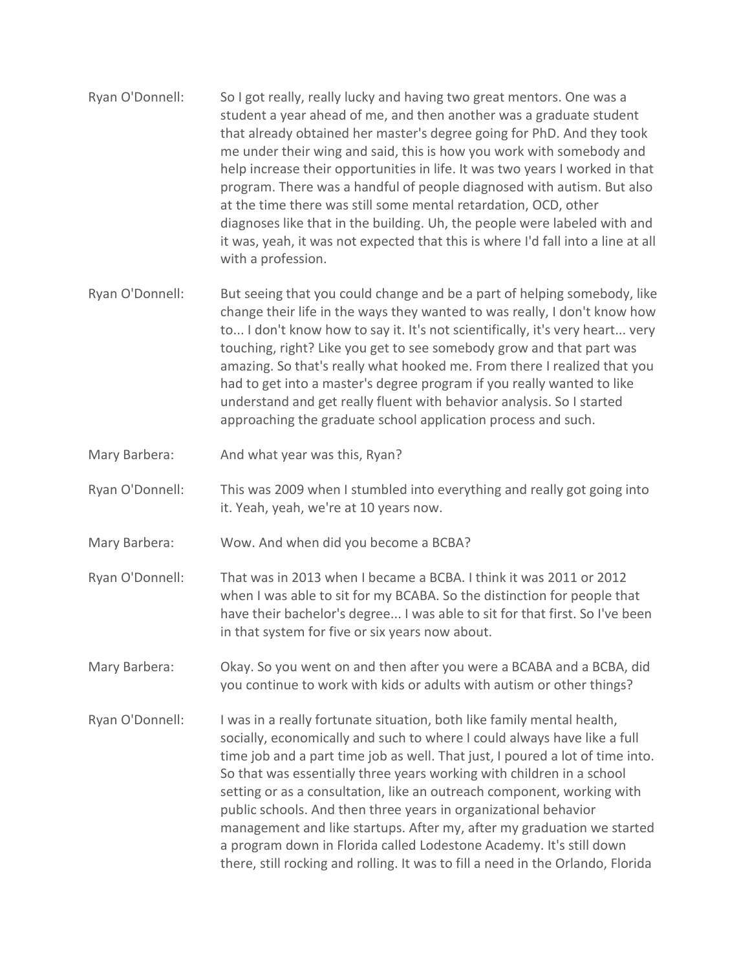- Ryan O'Donnell: So I got really, really lucky and having two great mentors. One was a student a year ahead of me, and then another was a graduate student that already obtained her master's degree going for PhD. And they took me under their wing and said, this is how you work with somebody and help increase their opportunities in life. It was two years I worked in that program. There was a handful of people diagnosed with autism. But also at the time there was still some mental retardation, OCD, other diagnoses like that in the building. Uh, the people were labeled with and it was, yeah, it was not expected that this is where I'd fall into a line at all with a profession.
- Ryan O'Donnell: But seeing that you could change and be a part of helping somebody, like change their life in the ways they wanted to was really, I don't know how to... I don't know how to say it. It's not scientifically, it's very heart... very touching, right? Like you get to see somebody grow and that part was amazing. So that's really what hooked me. From there I realized that you had to get into a master's degree program if you really wanted to like understand and get really fluent with behavior analysis. So I started approaching the graduate school application process and such.
- Mary Barbera: And what year was this, Ryan?
- Ryan O'Donnell: This was 2009 when I stumbled into everything and really got going into it. Yeah, yeah, we're at 10 years now.
- Mary Barbera: Wow. And when did you become a BCBA?
- Ryan O'Donnell: That was in 2013 when I became a BCBA. I think it was 2011 or 2012 when I was able to sit for my BCABA. So the distinction for people that have their bachelor's degree... I was able to sit for that first. So I've been in that system for five or six years now about.
- Mary Barbera: Okay. So you went on and then after you were a BCABA and a BCBA, did you continue to work with kids or adults with autism or other things?
- Ryan O'Donnell: I was in a really fortunate situation, both like family mental health, socially, economically and such to where I could always have like a full time job and a part time job as well. That just, I poured a lot of time into. So that was essentially three years working with children in a school setting or as a consultation, like an outreach component, working with public schools. And then three years in organizational behavior management and like startups. After my, after my graduation we started a program down in Florida called Lodestone Academy. It's still down there, still rocking and rolling. It was to fill a need in the Orlando, Florida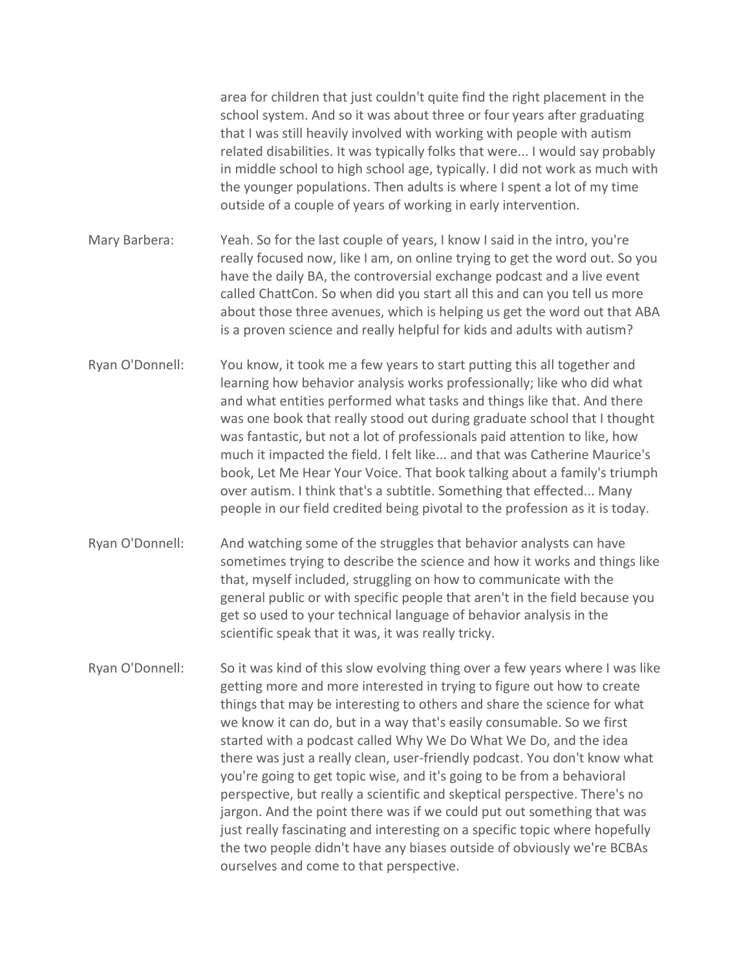area for children that just couldn't quite find the right placement in the school system. And so it was about three or four years after graduating that I was still heavily involved with working with people with autism related disabilities. It was typically folks that were... I would say probably in middle school to high school age, typically. I did not work as much with the younger populations. Then adults is where I spent a lot of my time outside of a couple of years of working in early intervention.

Mary Barbera: Yeah. So for the last couple of years, I know I said in the intro, you're really focused now, like I am, on online trying to get the word out. So you have the daily BA, the controversial exchange podcast and a live event called ChattCon. So when did you start all this and can you tell us more about those three avenues, which is helping us get the word out that ABA is a proven science and really helpful for kids and adults with autism?

- Ryan O'Donnell: You know, it took me a few years to start putting this all together and learning how behavior analysis works professionally; like who did what and what entities performed what tasks and things like that. And there was one book that really stood out during graduate school that I thought was fantastic, but not a lot of professionals paid attention to like, how much it impacted the field. I felt like... and that was Catherine Maurice's book, Let Me Hear Your Voice. That book talking about a family's triumph over autism. I think that's a subtitle. Something that effected... Many people in our field credited being pivotal to the profession as it is today.
- Ryan O'Donnell: And watching some of the struggles that behavior analysts can have sometimes trying to describe the science and how it works and things like that, myself included, struggling on how to communicate with the general public or with specific people that aren't in the field because you get so used to your technical language of behavior analysis in the scientific speak that it was, it was really tricky.
- Ryan O'Donnell: So it was kind of this slow evolving thing over a few years where I was like getting more and more interested in trying to figure out how to create things that may be interesting to others and share the science for what we know it can do, but in a way that's easily consumable. So we first started with a podcast called Why We Do What We Do, and the idea there was just a really clean, user-friendly podcast. You don't know what you're going to get topic wise, and it's going to be from a behavioral perspective, but really a scientific and skeptical perspective. There's no jargon. And the point there was if we could put out something that was just really fascinating and interesting on a specific topic where hopefully the two people didn't have any biases outside of obviously we're BCBAs ourselves and come to that perspective.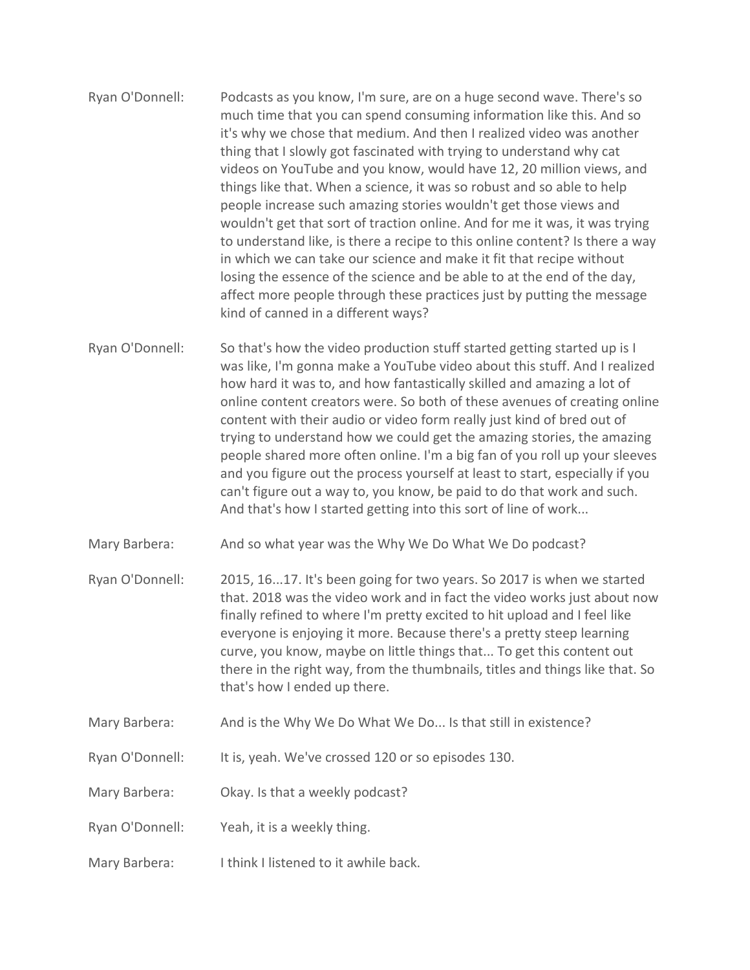- Ryan O'Donnell: Podcasts as you know, I'm sure, are on a huge second wave. There's so much time that you can spend consuming information like this. And so it's why we chose that medium. And then I realized video was another thing that I slowly got fascinated with trying to understand why cat videos on YouTube and you know, would have 12, 20 million views, and things like that. When a science, it was so robust and so able to help people increase such amazing stories wouldn't get those views and wouldn't get that sort of traction online. And for me it was, it was trying to understand like, is there a recipe to this online content? Is there a way in which we can take our science and make it fit that recipe without losing the essence of the science and be able to at the end of the day, affect more people through these practices just by putting the message kind of canned in a different ways?
- Ryan O'Donnell: So that's how the video production stuff started getting started up is I was like, I'm gonna make a YouTube video about this stuff. And I realized how hard it was to, and how fantastically skilled and amazing a lot of online content creators were. So both of these avenues of creating online content with their audio or video form really just kind of bred out of trying to understand how we could get the amazing stories, the amazing people shared more often online. I'm a big fan of you roll up your sleeves and you figure out the process yourself at least to start, especially if you can't figure out a way to, you know, be paid to do that work and such. And that's how I started getting into this sort of line of work...
- Mary Barbera: And so what year was the Why We Do What We Do podcast?
- Ryan O'Donnell: 2015, 16...17. It's been going for two years. So 2017 is when we started that. 2018 was the video work and in fact the video works just about now finally refined to where I'm pretty excited to hit upload and I feel like everyone is enjoying it more. Because there's a pretty steep learning curve, you know, maybe on little things that... To get this content out there in the right way, from the thumbnails, titles and things like that. So that's how I ended up there.
- Mary Barbera: And is the Why We Do What We Do... Is that still in existence?
- Ryan O'Donnell: It is, yeah. We've crossed 120 or so episodes 130.
- Mary Barbera: Okay. Is that a weekly podcast?
- Ryan O'Donnell: Yeah, it is a weekly thing.
- Mary Barbera: I think I listened to it awhile back.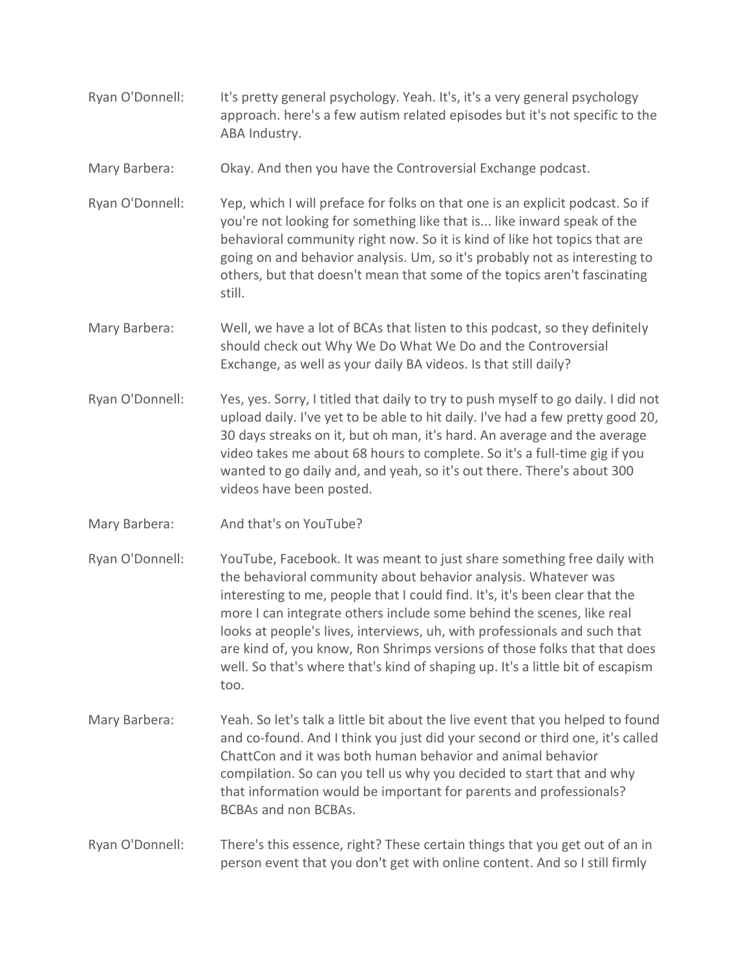- Ryan O'Donnell: It's pretty general psychology. Yeah. It's, it's a very general psychology approach. here's a few autism related episodes but it's not specific to the ABA Industry.
- Mary Barbera: Okay. And then you have the Controversial Exchange podcast.
- Ryan O'Donnell: Yep, which I will preface for folks on that one is an explicit podcast. So if you're not looking for something like that is... like inward speak of the behavioral community right now. So it is kind of like hot topics that are going on and behavior analysis. Um, so it's probably not as interesting to others, but that doesn't mean that some of the topics aren't fascinating still.
- Mary Barbera: Well, we have a lot of BCAs that listen to this podcast, so they definitely should check out Why We Do What We Do and the Controversial Exchange, as well as your daily BA videos. Is that still daily?
- Ryan O'Donnell: Yes, yes. Sorry, I titled that daily to try to push myself to go daily. I did not upload daily. I've yet to be able to hit daily. I've had a few pretty good 20, 30 days streaks on it, but oh man, it's hard. An average and the average video takes me about 68 hours to complete. So it's a full-time gig if you wanted to go daily and, and yeah, so it's out there. There's about 300 videos have been posted.
- Mary Barbera: And that's on YouTube?
- Ryan O'Donnell: YouTube, Facebook. It was meant to just share something free daily with the behavioral community about behavior analysis. Whatever was interesting to me, people that I could find. It's, it's been clear that the more I can integrate others include some behind the scenes, like real looks at people's lives, interviews, uh, with professionals and such that are kind of, you know, Ron Shrimps versions of those folks that that does well. So that's where that's kind of shaping up. It's a little bit of escapism too.
- Mary Barbera: Yeah. So let's talk a little bit about the live event that you helped to found and co-found. And I think you just did your second or third one, it's called ChattCon and it was both human behavior and animal behavior compilation. So can you tell us why you decided to start that and why that information would be important for parents and professionals? BCBAs and non BCBAs.
- Ryan O'Donnell: There's this essence, right? These certain things that you get out of an in person event that you don't get with online content. And so I still firmly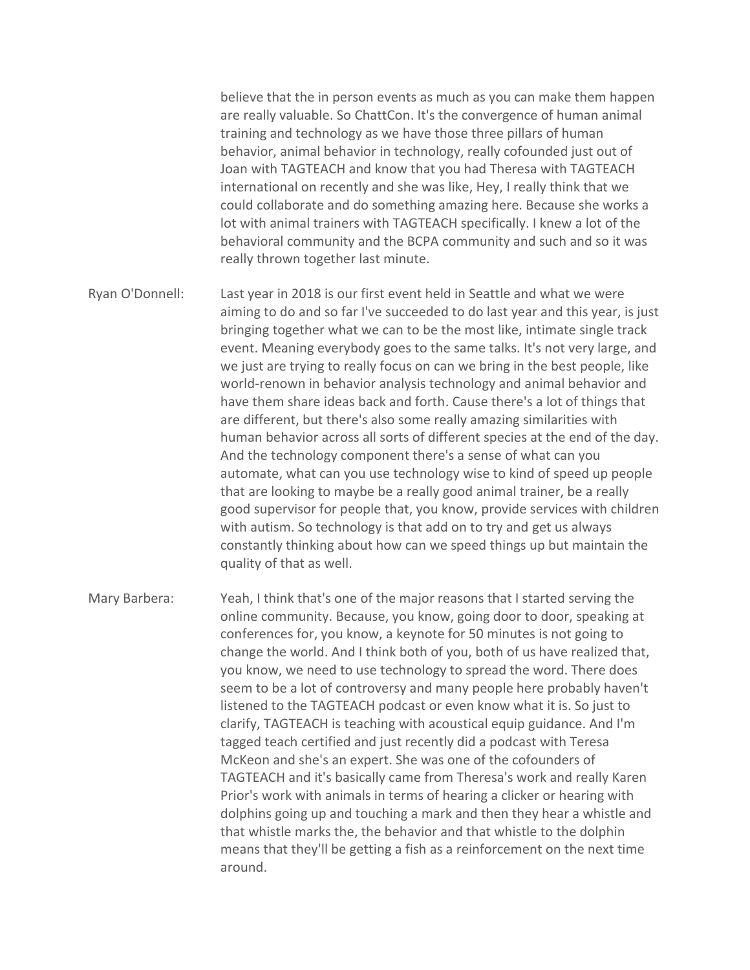believe that the in person events as much as you can make them happen are really valuable. So ChattCon. It's the convergence of human animal training and technology as we have those three pillars of human behavior, animal behavior in technology, really cofounded just out of Joan with TAGTEACH and know that you had Theresa with TAGTEACH international on recently and she was like, Hey, I really think that we could collaborate and do something amazing here. Because she works a lot with animal trainers with TAGTEACH specifically. I knew a lot of the behavioral community and the BCPA community and such and so it was really thrown together last minute.

Ryan O'Donnell: Last year in 2018 is our first event held in Seattle and what we were aiming to do and so far I've succeeded to do last year and this year, is just bringing together what we can to be the most like, intimate single track event. Meaning everybody goes to the same talks. It's not very large, and we just are trying to really focus on can we bring in the best people, like world-renown in behavior analysis technology and animal behavior and have them share ideas back and forth. Cause there's a lot of things that are different, but there's also some really amazing similarities with human behavior across all sorts of different species at the end of the day. And the technology component there's a sense of what can you automate, what can you use technology wise to kind of speed up people that are looking to maybe be a really good animal trainer, be a really good supervisor for people that, you know, provide services with children with autism. So technology is that add on to try and get us always constantly thinking about how can we speed things up but maintain the quality of that as well.

Mary Barbera: Yeah, I think that's one of the major reasons that I started serving the online community. Because, you know, going door to door, speaking at conferences for, you know, a keynote for 50 minutes is not going to change the world. And I think both of you, both of us have realized that, you know, we need to use technology to spread the word. There does seem to be a lot of controversy and many people here probably haven't listened to the TAGTEACH podcast or even know what it is. So just to clarify, TAGTEACH is teaching with acoustical equip guidance. And I'm tagged teach certified and just recently did a podcast with Teresa McKeon and she's an expert. She was one of the cofounders of TAGTEACH and it's basically came from Theresa's work and really Karen Prior's work with animals in terms of hearing a clicker or hearing with dolphins going up and touching a mark and then they hear a whistle and that whistle marks the, the behavior and that whistle to the dolphin means that they'll be getting a fish as a reinforcement on the next time around.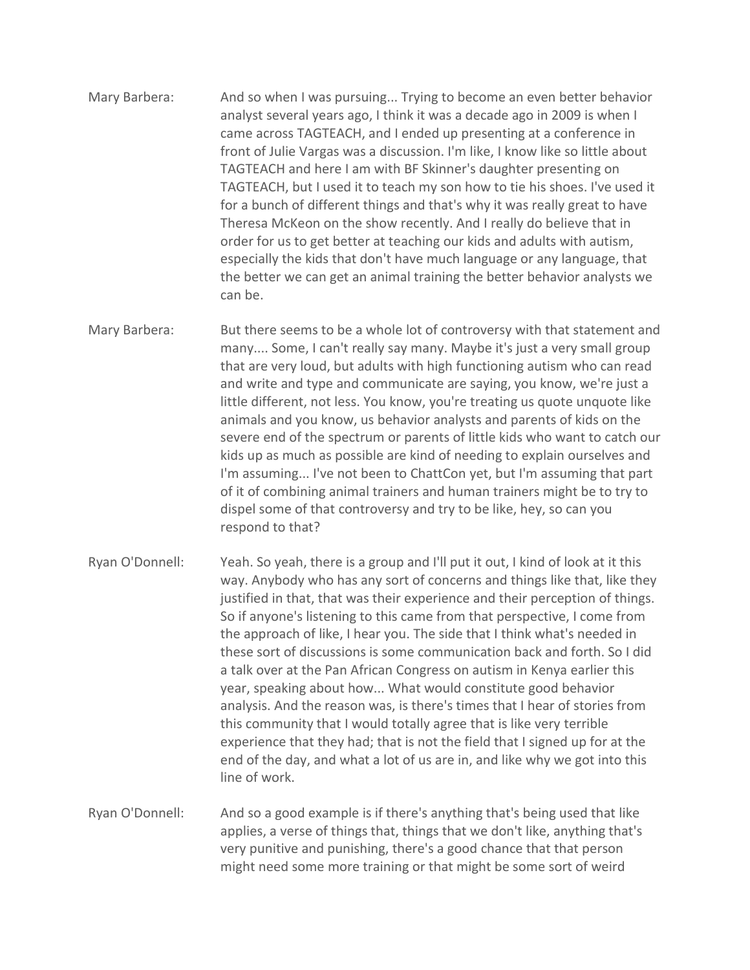- Mary Barbera: And so when I was pursuing... Trying to become an even better behavior analyst several years ago, I think it was a decade ago in 2009 is when I came across TAGTEACH, and I ended up presenting at a conference in front of Julie Vargas was a discussion. I'm like, I know like so little about TAGTEACH and here I am with BF Skinner's daughter presenting on TAGTEACH, but I used it to teach my son how to tie his shoes. I've used it for a bunch of different things and that's why it was really great to have Theresa McKeon on the show recently. And I really do believe that in order for us to get better at teaching our kids and adults with autism, especially the kids that don't have much language or any language, that the better we can get an animal training the better behavior analysts we can be.
- Mary Barbera: But there seems to be a whole lot of controversy with that statement and many.... Some, I can't really say many. Maybe it's just a very small group that are very loud, but adults with high functioning autism who can read and write and type and communicate are saying, you know, we're just a little different, not less. You know, you're treating us quote unquote like animals and you know, us behavior analysts and parents of kids on the severe end of the spectrum or parents of little kids who want to catch our kids up as much as possible are kind of needing to explain ourselves and I'm assuming... I've not been to ChattCon yet, but I'm assuming that part of it of combining animal trainers and human trainers might be to try to dispel some of that controversy and try to be like, hey, so can you respond to that?
- Ryan O'Donnell: Yeah. So yeah, there is a group and I'll put it out, I kind of look at it this way. Anybody who has any sort of concerns and things like that, like they justified in that, that was their experience and their perception of things. So if anyone's listening to this came from that perspective, I come from the approach of like, I hear you. The side that I think what's needed in these sort of discussions is some communication back and forth. So I did a talk over at the Pan African Congress on autism in Kenya earlier this year, speaking about how... What would constitute good behavior analysis. And the reason was, is there's times that I hear of stories from this community that I would totally agree that is like very terrible experience that they had; that is not the field that I signed up for at the end of the day, and what a lot of us are in, and like why we got into this line of work.
- Ryan O'Donnell: And so a good example is if there's anything that's being used that like applies, a verse of things that, things that we don't like, anything that's very punitive and punishing, there's a good chance that that person might need some more training or that might be some sort of weird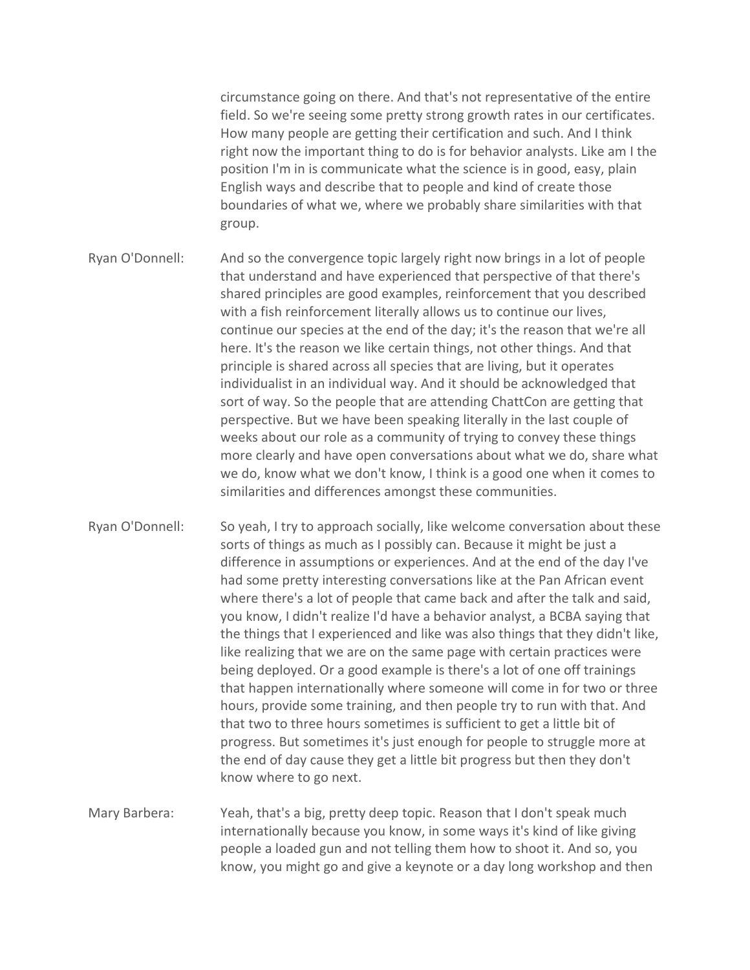circumstance going on there. And that's not representative of the entire field. So we're seeing some pretty strong growth rates in our certificates. How many people are getting their certification and such. And I think right now the important thing to do is for behavior analysts. Like am I the position I'm in is communicate what the science is in good, easy, plain English ways and describe that to people and kind of create those boundaries of what we, where we probably share similarities with that group.

- Ryan O'Donnell: And so the convergence topic largely right now brings in a lot of people that understand and have experienced that perspective of that there's shared principles are good examples, reinforcement that you described with a fish reinforcement literally allows us to continue our lives, continue our species at the end of the day; it's the reason that we're all here. It's the reason we like certain things, not other things. And that principle is shared across all species that are living, but it operates individualist in an individual way. And it should be acknowledged that sort of way. So the people that are attending ChattCon are getting that perspective. But we have been speaking literally in the last couple of weeks about our role as a community of trying to convey these things more clearly and have open conversations about what we do, share what we do, know what we don't know, I think is a good one when it comes to similarities and differences amongst these communities.
- Ryan O'Donnell: So yeah, I try to approach socially, like welcome conversation about these sorts of things as much as I possibly can. Because it might be just a difference in assumptions or experiences. And at the end of the day I've had some pretty interesting conversations like at the Pan African event where there's a lot of people that came back and after the talk and said, you know, I didn't realize I'd have a behavior analyst, a BCBA saying that the things that I experienced and like was also things that they didn't like, like realizing that we are on the same page with certain practices were being deployed. Or a good example is there's a lot of one off trainings that happen internationally where someone will come in for two or three hours, provide some training, and then people try to run with that. And that two to three hours sometimes is sufficient to get a little bit of progress. But sometimes it's just enough for people to struggle more at the end of day cause they get a little bit progress but then they don't know where to go next.
- Mary Barbera: Yeah, that's a big, pretty deep topic. Reason that I don't speak much internationally because you know, in some ways it's kind of like giving people a loaded gun and not telling them how to shoot it. And so, you know, you might go and give a keynote or a day long workshop and then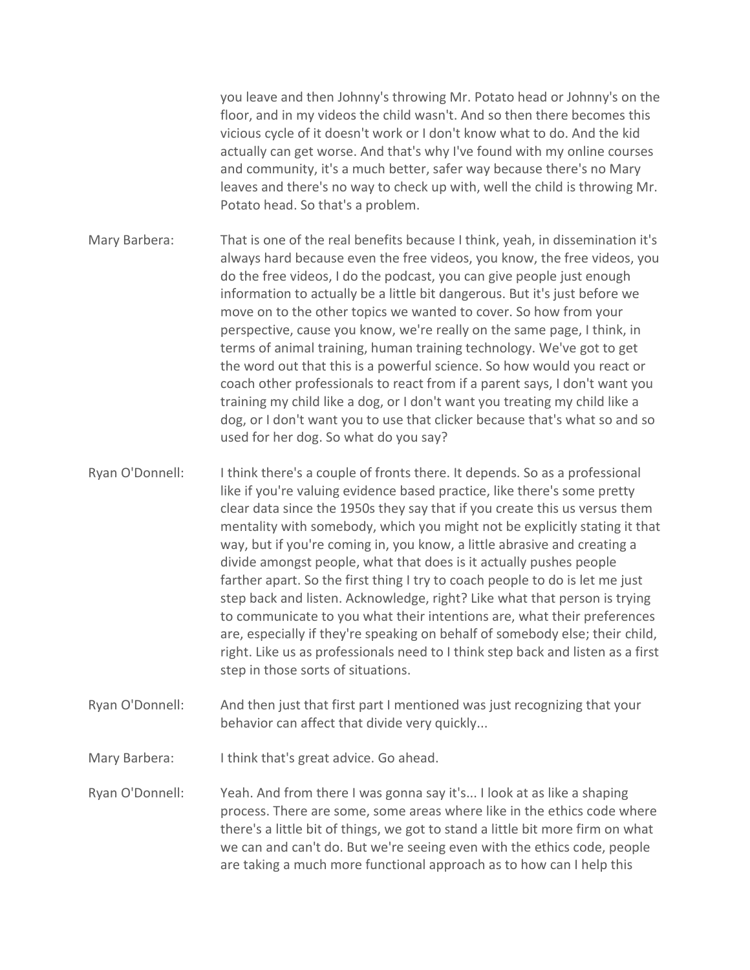you leave and then Johnny's throwing Mr. Potato head or Johnny's on the floor, and in my videos the child wasn't. And so then there becomes this vicious cycle of it doesn't work or I don't know what to do. And the kid actually can get worse. And that's why I've found with my online courses and community, it's a much better, safer way because there's no Mary leaves and there's no way to check up with, well the child is throwing Mr. Potato head. So that's a problem.

- Mary Barbera: That is one of the real benefits because I think, yeah, in dissemination it's always hard because even the free videos, you know, the free videos, you do the free videos, I do the podcast, you can give people just enough information to actually be a little bit dangerous. But it's just before we move on to the other topics we wanted to cover. So how from your perspective, cause you know, we're really on the same page, I think, in terms of animal training, human training technology. We've got to get the word out that this is a powerful science. So how would you react or coach other professionals to react from if a parent says, I don't want you training my child like a dog, or I don't want you treating my child like a dog, or I don't want you to use that clicker because that's what so and so used for her dog. So what do you say?
- Ryan O'Donnell: I think there's a couple of fronts there. It depends. So as a professional like if you're valuing evidence based practice, like there's some pretty clear data since the 1950s they say that if you create this us versus them mentality with somebody, which you might not be explicitly stating it that way, but if you're coming in, you know, a little abrasive and creating a divide amongst people, what that does is it actually pushes people farther apart. So the first thing I try to coach people to do is let me just step back and listen. Acknowledge, right? Like what that person is trying to communicate to you what their intentions are, what their preferences are, especially if they're speaking on behalf of somebody else; their child, right. Like us as professionals need to I think step back and listen as a first step in those sorts of situations.
- Ryan O'Donnell: And then just that first part I mentioned was just recognizing that your behavior can affect that divide very quickly...
- Mary Barbera: I think that's great advice. Go ahead.
- Ryan O'Donnell: Yeah. And from there I was gonna say it's... I look at as like a shaping process. There are some, some areas where like in the ethics code where there's a little bit of things, we got to stand a little bit more firm on what we can and can't do. But we're seeing even with the ethics code, people are taking a much more functional approach as to how can I help this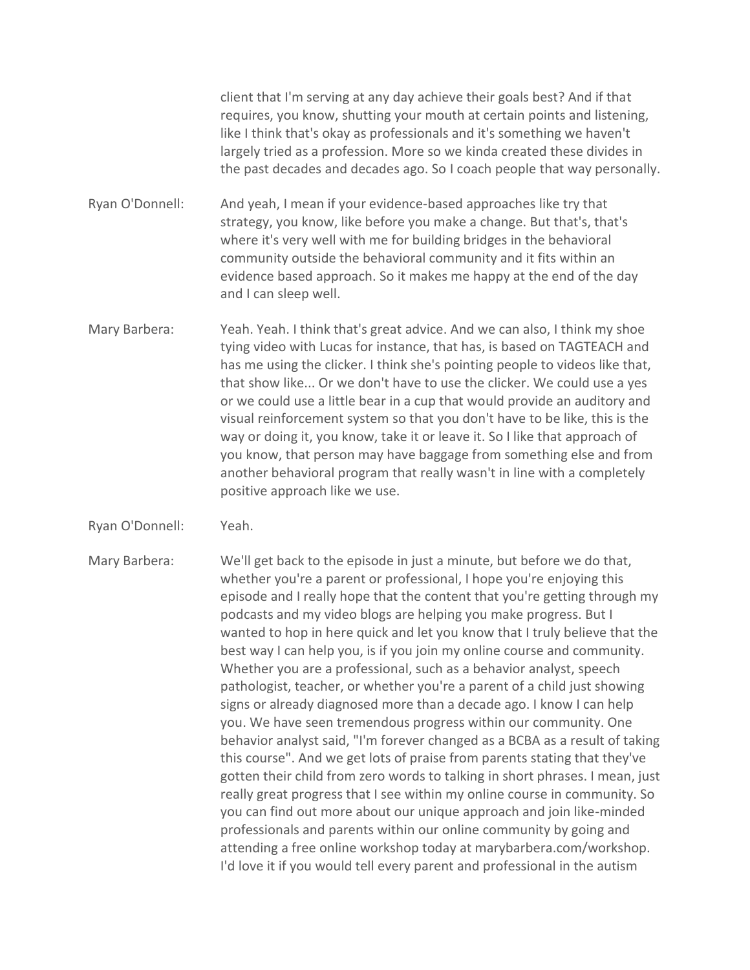client that I'm serving at any day achieve their goals best? And if that requires, you know, shutting your mouth at certain points and listening, like I think that's okay as professionals and it's something we haven't largely tried as a profession. More so we kinda created these divides in the past decades and decades ago. So I coach people that way personally.

Ryan O'Donnell: And yeah, I mean if your evidence-based approaches like try that strategy, you know, like before you make a change. But that's, that's where it's very well with me for building bridges in the behavioral community outside the behavioral community and it fits within an evidence based approach. So it makes me happy at the end of the day and I can sleep well.

- Mary Barbera: Yeah. Yeah. I think that's great advice. And we can also, I think my shoe tying video with Lucas for instance, that has, is based on TAGTEACH and has me using the clicker. I think she's pointing people to videos like that, that show like... Or we don't have to use the clicker. We could use a yes or we could use a little bear in a cup that would provide an auditory and visual reinforcement system so that you don't have to be like, this is the way or doing it, you know, take it or leave it. So I like that approach of you know, that person may have baggage from something else and from another behavioral program that really wasn't in line with a completely positive approach like we use.
- Ryan O'Donnell: Yeah.

Mary Barbera: We'll get back to the episode in just a minute, but before we do that, whether you're a parent or professional, I hope you're enjoying this episode and I really hope that the content that you're getting through my podcasts and my video blogs are helping you make progress. But I wanted to hop in here quick and let you know that I truly believe that the best way I can help you, is if you join my online course and community. Whether you are a professional, such as a behavior analyst, speech pathologist, teacher, or whether you're a parent of a child just showing signs or already diagnosed more than a decade ago. I know I can help you. We have seen tremendous progress within our community. One behavior analyst said, "I'm forever changed as a BCBA as a result of taking this course". And we get lots of praise from parents stating that they've gotten their child from zero words to talking in short phrases. I mean, just really great progress that I see within my online course in community. So you can find out more about our unique approach and join like-minded professionals and parents within our online community by going and attending a free online workshop today at marybarbera.com/workshop. I'd love it if you would tell every parent and professional in the autism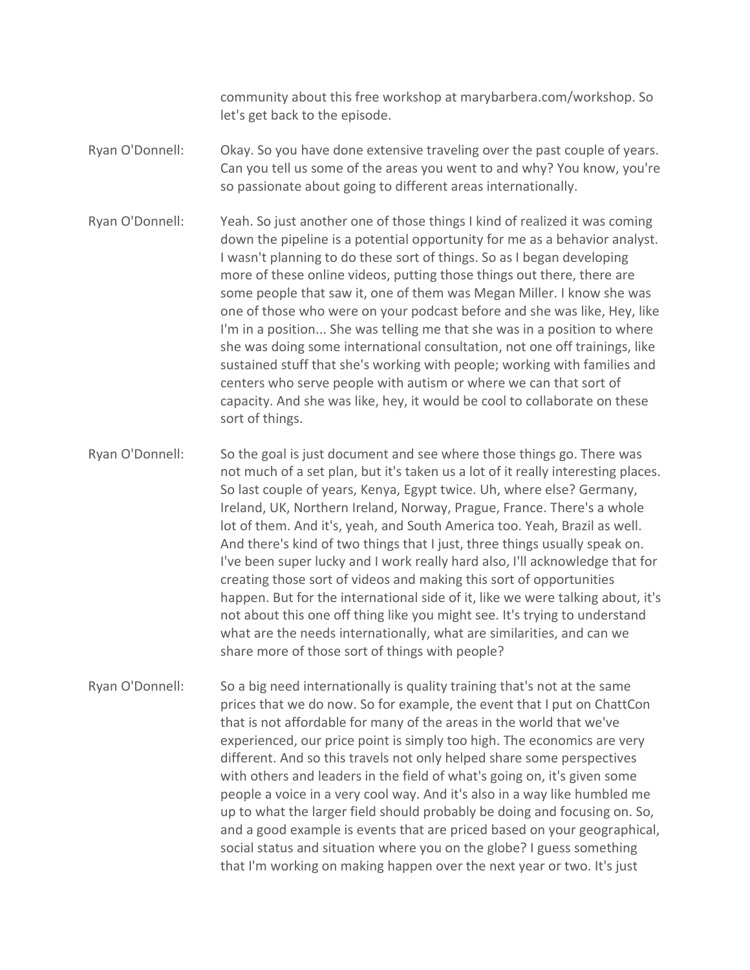community about this free workshop at marybarbera.com/workshop. So let's get back to the episode.

- Ryan O'Donnell: Okay. So you have done extensive traveling over the past couple of years. Can you tell us some of the areas you went to and why? You know, you're so passionate about going to different areas internationally.
- Ryan O'Donnell: Yeah. So just another one of those things I kind of realized it was coming down the pipeline is a potential opportunity for me as a behavior analyst. I wasn't planning to do these sort of things. So as I began developing more of these online videos, putting those things out there, there are some people that saw it, one of them was Megan Miller. I know she was one of those who were on your podcast before and she was like, Hey, like I'm in a position... She was telling me that she was in a position to where she was doing some international consultation, not one off trainings, like sustained stuff that she's working with people; working with families and centers who serve people with autism or where we can that sort of capacity. And she was like, hey, it would be cool to collaborate on these sort of things.
- Ryan O'Donnell: So the goal is just document and see where those things go. There was not much of a set plan, but it's taken us a lot of it really interesting places. So last couple of years, Kenya, Egypt twice. Uh, where else? Germany, Ireland, UK, Northern Ireland, Norway, Prague, France. There's a whole lot of them. And it's, yeah, and South America too. Yeah, Brazil as well. And there's kind of two things that I just, three things usually speak on. I've been super lucky and I work really hard also, I'll acknowledge that for creating those sort of videos and making this sort of opportunities happen. But for the international side of it, like we were talking about, it's not about this one off thing like you might see. It's trying to understand what are the needs internationally, what are similarities, and can we share more of those sort of things with people?
- Ryan O'Donnell: So a big need internationally is quality training that's not at the same prices that we do now. So for example, the event that I put on ChattCon that is not affordable for many of the areas in the world that we've experienced, our price point is simply too high. The economics are very different. And so this travels not only helped share some perspectives with others and leaders in the field of what's going on, it's given some people a voice in a very cool way. And it's also in a way like humbled me up to what the larger field should probably be doing and focusing on. So, and a good example is events that are priced based on your geographical, social status and situation where you on the globe? I guess something that I'm working on making happen over the next year or two. It's just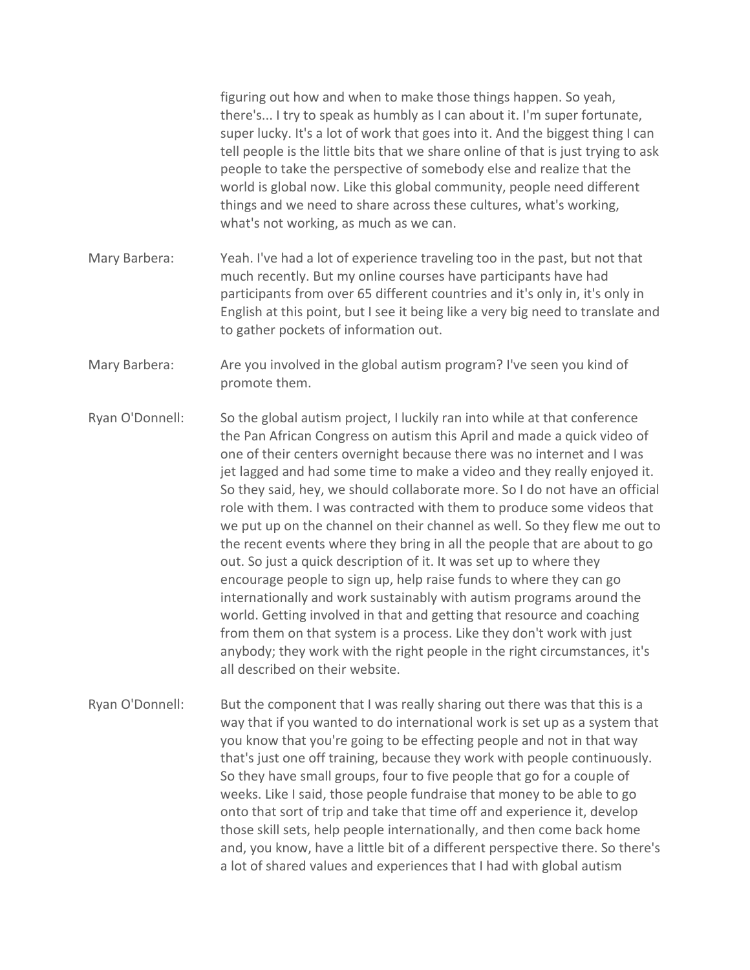figuring out how and when to make those things happen. So yeah, there's... I try to speak as humbly as I can about it. I'm super fortunate, super lucky. It's a lot of work that goes into it. And the biggest thing I can tell people is the little bits that we share online of that is just trying to ask people to take the perspective of somebody else and realize that the world is global now. Like this global community, people need different things and we need to share across these cultures, what's working, what's not working, as much as we can.

- Mary Barbera: Yeah. I've had a lot of experience traveling too in the past, but not that much recently. But my online courses have participants have had participants from over 65 different countries and it's only in, it's only in English at this point, but I see it being like a very big need to translate and to gather pockets of information out.
- Mary Barbera: Are you involved in the global autism program? I've seen you kind of promote them.

Ryan O'Donnell: So the global autism project, I luckily ran into while at that conference the Pan African Congress on autism this April and made a quick video of one of their centers overnight because there was no internet and I was jet lagged and had some time to make a video and they really enjoyed it. So they said, hey, we should collaborate more. So I do not have an official role with them. I was contracted with them to produce some videos that we put up on the channel on their channel as well. So they flew me out to the recent events where they bring in all the people that are about to go out. So just a quick description of it. It was set up to where they encourage people to sign up, help raise funds to where they can go internationally and work sustainably with autism programs around the world. Getting involved in that and getting that resource and coaching from them on that system is a process. Like they don't work with just anybody; they work with the right people in the right circumstances, it's all described on their website.

Ryan O'Donnell: But the component that I was really sharing out there was that this is a way that if you wanted to do international work is set up as a system that you know that you're going to be effecting people and not in that way that's just one off training, because they work with people continuously. So they have small groups, four to five people that go for a couple of weeks. Like I said, those people fundraise that money to be able to go onto that sort of trip and take that time off and experience it, develop those skill sets, help people internationally, and then come back home and, you know, have a little bit of a different perspective there. So there's a lot of shared values and experiences that I had with global autism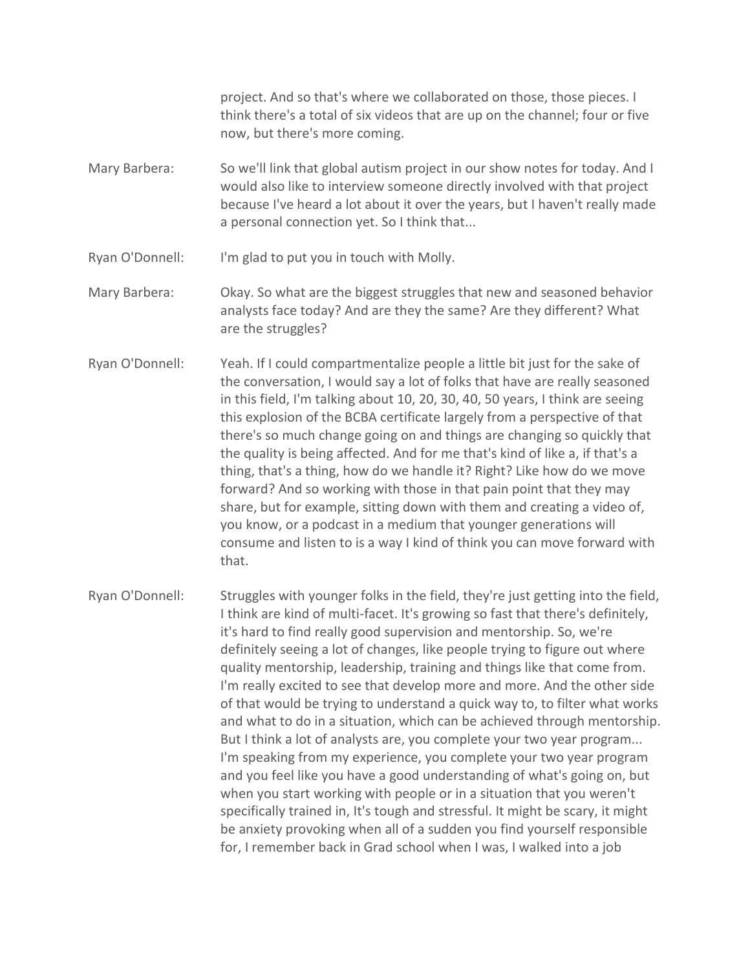project. And so that's where we collaborated on those, those pieces. I think there's a total of six videos that are up on the channel; four or five now, but there's more coming.

Mary Barbera: So we'll link that global autism project in our show notes for today. And I would also like to interview someone directly involved with that project because I've heard a lot about it over the years, but I haven't really made a personal connection yet. So I think that...

Ryan O'Donnell: I'm glad to put you in touch with Molly.

Mary Barbera: Okay. So what are the biggest struggles that new and seasoned behavior analysts face today? And are they the same? Are they different? What are the struggles?

- Ryan O'Donnell: Yeah. If I could compartmentalize people a little bit just for the sake of the conversation, I would say a lot of folks that have are really seasoned in this field, I'm talking about 10, 20, 30, 40, 50 years, I think are seeing this explosion of the BCBA certificate largely from a perspective of that there's so much change going on and things are changing so quickly that the quality is being affected. And for me that's kind of like a, if that's a thing, that's a thing, how do we handle it? Right? Like how do we move forward? And so working with those in that pain point that they may share, but for example, sitting down with them and creating a video of, you know, or a podcast in a medium that younger generations will consume and listen to is a way I kind of think you can move forward with that.
- Ryan O'Donnell: Struggles with younger folks in the field, they're just getting into the field, I think are kind of multi-facet. It's growing so fast that there's definitely, it's hard to find really good supervision and mentorship. So, we're definitely seeing a lot of changes, like people trying to figure out where quality mentorship, leadership, training and things like that come from. I'm really excited to see that develop more and more. And the other side of that would be trying to understand a quick way to, to filter what works and what to do in a situation, which can be achieved through mentorship. But I think a lot of analysts are, you complete your two year program... I'm speaking from my experience, you complete your two year program and you feel like you have a good understanding of what's going on, but when you start working with people or in a situation that you weren't specifically trained in, It's tough and stressful. It might be scary, it might be anxiety provoking when all of a sudden you find yourself responsible for, I remember back in Grad school when I was, I walked into a job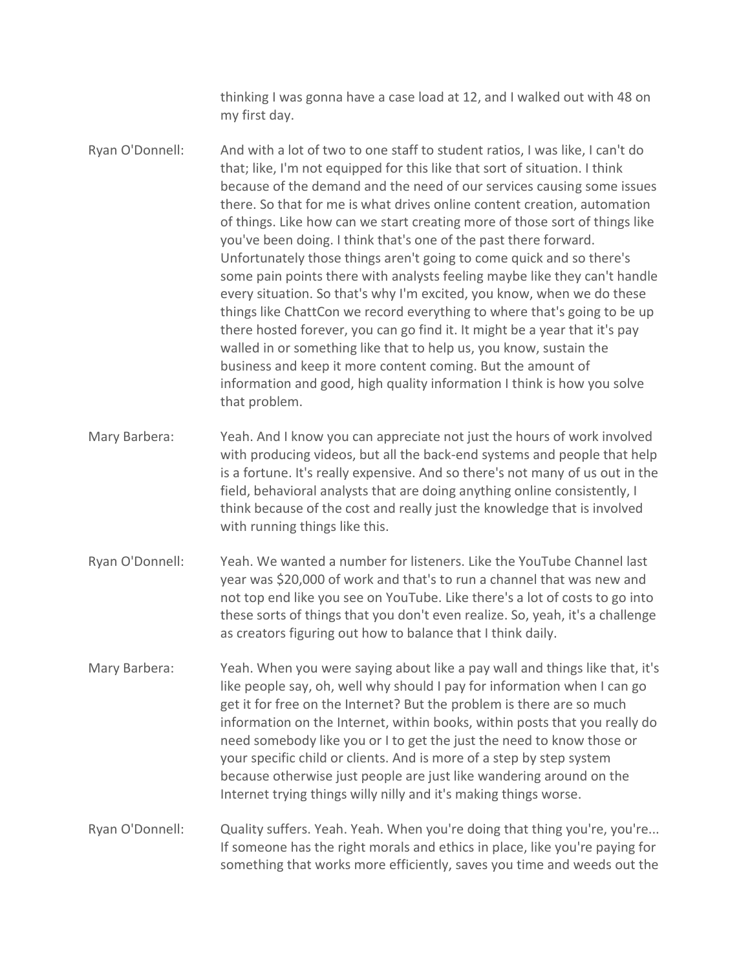thinking I was gonna have a case load at 12, and I walked out with 48 on my first day.

Ryan O'Donnell: And with a lot of two to one staff to student ratios, I was like, I can't do that; like, I'm not equipped for this like that sort of situation. I think because of the demand and the need of our services causing some issues there. So that for me is what drives online content creation, automation of things. Like how can we start creating more of those sort of things like you've been doing. I think that's one of the past there forward. Unfortunately those things aren't going to come quick and so there's some pain points there with analysts feeling maybe like they can't handle every situation. So that's why I'm excited, you know, when we do these things like ChattCon we record everything to where that's going to be up there hosted forever, you can go find it. It might be a year that it's pay walled in or something like that to help us, you know, sustain the business and keep it more content coming. But the amount of information and good, high quality information I think is how you solve that problem.

- Mary Barbera: Yeah. And I know you can appreciate not just the hours of work involved with producing videos, but all the back-end systems and people that help is a fortune. It's really expensive. And so there's not many of us out in the field, behavioral analysts that are doing anything online consistently, I think because of the cost and really just the knowledge that is involved with running things like this.
- Ryan O'Donnell: Yeah. We wanted a number for listeners. Like the YouTube Channel last year was \$20,000 of work and that's to run a channel that was new and not top end like you see on YouTube. Like there's a lot of costs to go into these sorts of things that you don't even realize. So, yeah, it's a challenge as creators figuring out how to balance that I think daily.
- Mary Barbera: Yeah. When you were saying about like a pay wall and things like that, it's like people say, oh, well why should I pay for information when I can go get it for free on the Internet? But the problem is there are so much information on the Internet, within books, within posts that you really do need somebody like you or I to get the just the need to know those or your specific child or clients. And is more of a step by step system because otherwise just people are just like wandering around on the Internet trying things willy nilly and it's making things worse.

Ryan O'Donnell: Quality suffers. Yeah. Yeah. When you're doing that thing you're, you're... If someone has the right morals and ethics in place, like you're paying for something that works more efficiently, saves you time and weeds out the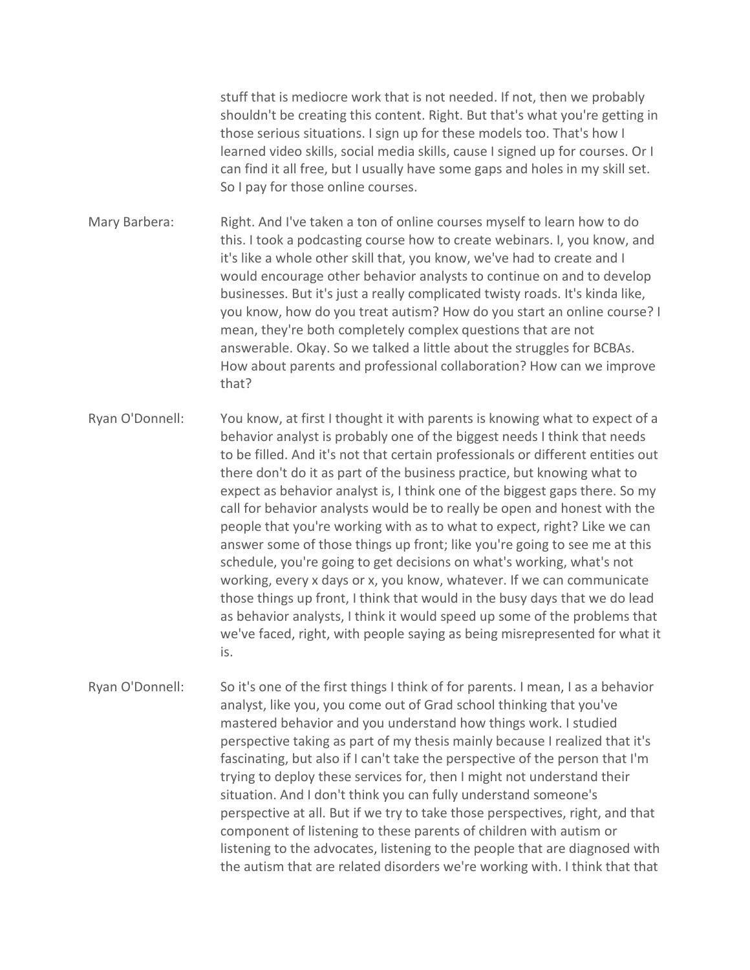stuff that is mediocre work that is not needed. If not, then we probably shouldn't be creating this content. Right. But that's what you're getting in those serious situations. I sign up for these models too. That's how I learned video skills, social media skills, cause I signed up for courses. Or I can find it all free, but I usually have some gaps and holes in my skill set. So I pay for those online courses.

Mary Barbera: Right. And I've taken a ton of online courses myself to learn how to do this. I took a podcasting course how to create webinars. I, you know, and it's like a whole other skill that, you know, we've had to create and I would encourage other behavior analysts to continue on and to develop businesses. But it's just a really complicated twisty roads. It's kinda like, you know, how do you treat autism? How do you start an online course? I mean, they're both completely complex questions that are not answerable. Okay. So we talked a little about the struggles for BCBAs. How about parents and professional collaboration? How can we improve that?

Ryan O'Donnell: You know, at first I thought it with parents is knowing what to expect of a behavior analyst is probably one of the biggest needs I think that needs to be filled. And it's not that certain professionals or different entities out there don't do it as part of the business practice, but knowing what to expect as behavior analyst is, I think one of the biggest gaps there. So my call for behavior analysts would be to really be open and honest with the people that you're working with as to what to expect, right? Like we can answer some of those things up front; like you're going to see me at this schedule, you're going to get decisions on what's working, what's not working, every x days or x, you know, whatever. If we can communicate those things up front, I think that would in the busy days that we do lead as behavior analysts, I think it would speed up some of the problems that we've faced, right, with people saying as being misrepresented for what it is.

Ryan O'Donnell: So it's one of the first things I think of for parents. I mean, I as a behavior analyst, like you, you come out of Grad school thinking that you've mastered behavior and you understand how things work. I studied perspective taking as part of my thesis mainly because I realized that it's fascinating, but also if I can't take the perspective of the person that I'm trying to deploy these services for, then I might not understand their situation. And I don't think you can fully understand someone's perspective at all. But if we try to take those perspectives, right, and that component of listening to these parents of children with autism or listening to the advocates, listening to the people that are diagnosed with the autism that are related disorders we're working with. I think that that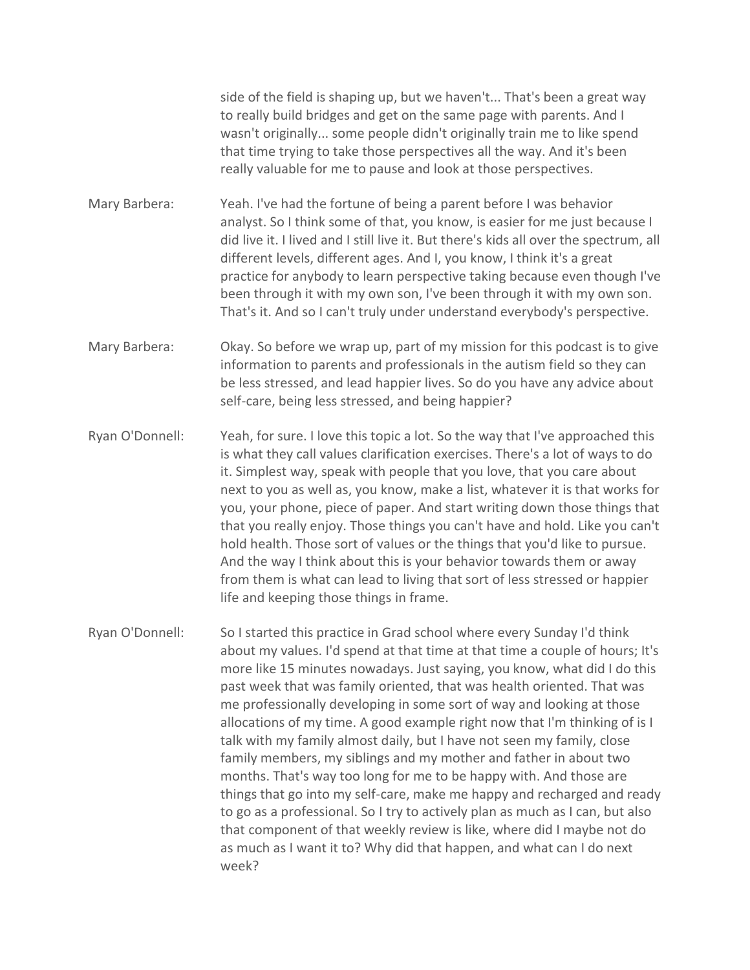side of the field is shaping up, but we haven't... That's been a great way to really build bridges and get on the same page with parents. And I wasn't originally... some people didn't originally train me to like spend that time trying to take those perspectives all the way. And it's been really valuable for me to pause and look at those perspectives.

Mary Barbera: Yeah. I've had the fortune of being a parent before I was behavior analyst. So I think some of that, you know, is easier for me just because I did live it. I lived and I still live it. But there's kids all over the spectrum, all different levels, different ages. And I, you know, I think it's a great practice for anybody to learn perspective taking because even though I've been through it with my own son, I've been through it with my own son. That's it. And so I can't truly under understand everybody's perspective.

Mary Barbera: Okay. So before we wrap up, part of my mission for this podcast is to give information to parents and professionals in the autism field so they can be less stressed, and lead happier lives. So do you have any advice about self-care, being less stressed, and being happier?

Ryan O'Donnell: Yeah, for sure. I love this topic a lot. So the way that I've approached this is what they call values clarification exercises. There's a lot of ways to do it. Simplest way, speak with people that you love, that you care about next to you as well as, you know, make a list, whatever it is that works for you, your phone, piece of paper. And start writing down those things that that you really enjoy. Those things you can't have and hold. Like you can't hold health. Those sort of values or the things that you'd like to pursue. And the way I think about this is your behavior towards them or away from them is what can lead to living that sort of less stressed or happier life and keeping those things in frame.

Ryan O'Donnell: So I started this practice in Grad school where every Sunday I'd think about my values. I'd spend at that time at that time a couple of hours; It's more like 15 minutes nowadays. Just saying, you know, what did I do this past week that was family oriented, that was health oriented. That was me professionally developing in some sort of way and looking at those allocations of my time. A good example right now that I'm thinking of is I talk with my family almost daily, but I have not seen my family, close family members, my siblings and my mother and father in about two months. That's way too long for me to be happy with. And those are things that go into my self-care, make me happy and recharged and ready to go as a professional. So I try to actively plan as much as I can, but also that component of that weekly review is like, where did I maybe not do as much as I want it to? Why did that happen, and what can I do next week?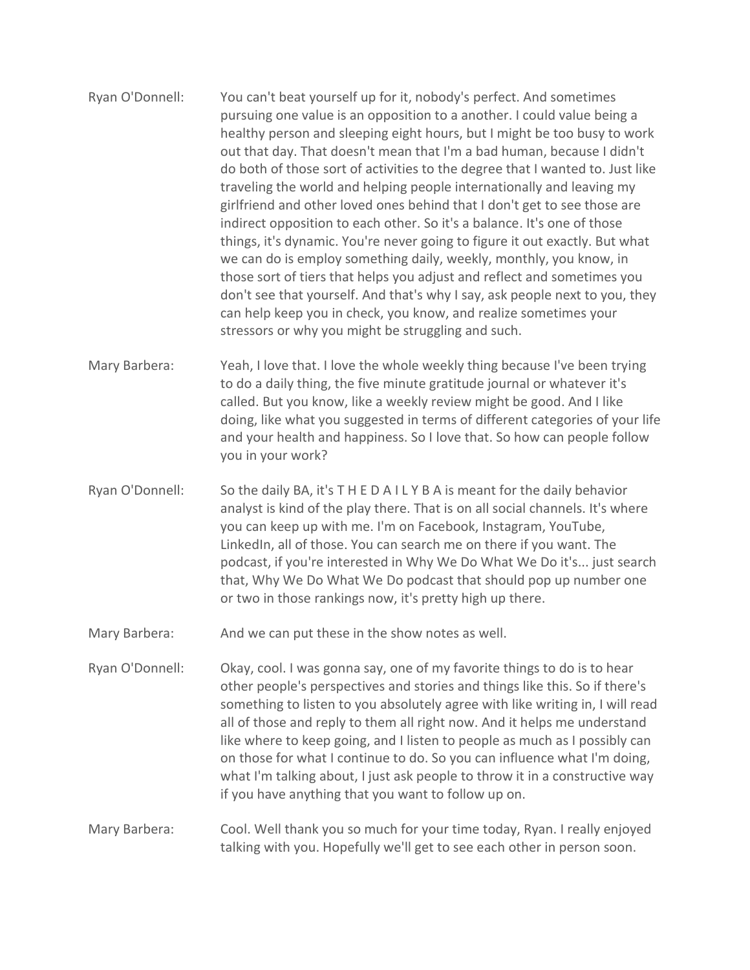- Ryan O'Donnell: You can't beat yourself up for it, nobody's perfect. And sometimes pursuing one value is an opposition to a another. I could value being a healthy person and sleeping eight hours, but I might be too busy to work out that day. That doesn't mean that I'm a bad human, because I didn't do both of those sort of activities to the degree that I wanted to. Just like traveling the world and helping people internationally and leaving my girlfriend and other loved ones behind that I don't get to see those are indirect opposition to each other. So it's a balance. It's one of those things, it's dynamic. You're never going to figure it out exactly. But what we can do is employ something daily, weekly, monthly, you know, in those sort of tiers that helps you adjust and reflect and sometimes you don't see that yourself. And that's why I say, ask people next to you, they can help keep you in check, you know, and realize sometimes your stressors or why you might be struggling and such.
- Mary Barbera: Yeah, I love that. I love the whole weekly thing because I've been trying to do a daily thing, the five minute gratitude journal or whatever it's called. But you know, like a weekly review might be good. And I like doing, like what you suggested in terms of different categories of your life and your health and happiness. So I love that. So how can people follow you in your work?
- Ryan O'Donnell: So the daily BA, it's T H E D A I L Y B A is meant for the daily behavior analyst is kind of the play there. That is on all social channels. It's where you can keep up with me. I'm on Facebook, Instagram, YouTube, LinkedIn, all of those. You can search me on there if you want. The podcast, if you're interested in Why We Do What We Do it's... just search that, Why We Do What We Do podcast that should pop up number one or two in those rankings now, it's pretty high up there.
- Mary Barbera: And we can put these in the show notes as well.
- Ryan O'Donnell: Okay, cool. I was gonna say, one of my favorite things to do is to hear other people's perspectives and stories and things like this. So if there's something to listen to you absolutely agree with like writing in, I will read all of those and reply to them all right now. And it helps me understand like where to keep going, and I listen to people as much as I possibly can on those for what I continue to do. So you can influence what I'm doing, what I'm talking about, I just ask people to throw it in a constructive way if you have anything that you want to follow up on.

## Mary Barbera: Cool. Well thank you so much for your time today, Ryan. I really enjoyed talking with you. Hopefully we'll get to see each other in person soon.